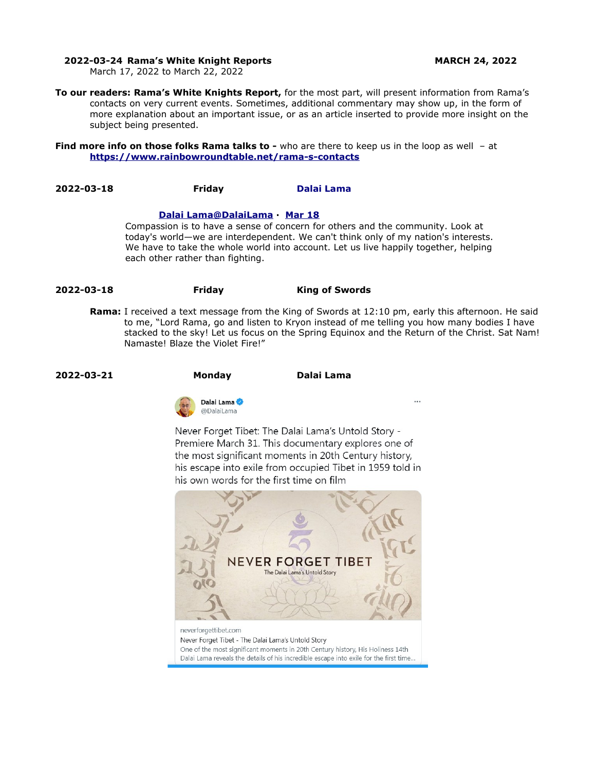#### **2022-03-24 Rama's White Knight Reports MARCH 24, 2022**

March 17, 2022 to March 22, 2022

**To our readers: Rama's White Knights Report,** for the most part, will present information from Rama's contacts on very current events. Sometimes, additional commentary may show up, in the form of more explanation about an important issue, or as an article inserted to provide more insight on the subject being presented.

**Find more info on those folks Rama talks to -** who are there to keep us in the loop as well - at **<https://www.rainbowroundtable.net/rama-s-contacts>**

**2022-03-18 Friday [Dalai Lama](https://twitter.com/DalaiLama)**

# **[Dalai](https://twitter.com/DalaiLama) [Lama @DalaiLama](mailto:Lama@DalaiLama) · [Mar 18](https://twitter.com/DalaiLama/status/1504751975816376321)**

Compassion is to have a sense of concern for others and the community. Look at today's world—we are interdependent. We can't think only of my nation's interests. We have to take the whole world into account. Let us live happily together, helping each other rather than fighting.

- **2022-03-18 Friday King of Swords**
	- **Rama:** I received a text message from the King of Swords at 12:10 pm, early this afternoon. He said to me, "Lord Rama, go and listen to Kryon instead of me telling you how many bodies I have stacked to the sky! Let us focus on the Spring Equinox and the Return of the Christ. Sat Nam! Namaste! Blaze the Violet Fire!"

**2022-03-21 Monday Dalai Lama**



Never Forget Tibet: The Dalai Lama's Untold Story -Premiere March 31. This documentary explores one of the most significant moments in 20th Century history, his escape into exile from occupied Tibet in 1959 told in his own words for the first time on film



Never Forget Tibet - The Dalai Lama's Untold Story One of the most significant moments in 20th Century history, His Holiness 14th Dalai Lama reveals the details of his incredible escape into exile for the first time...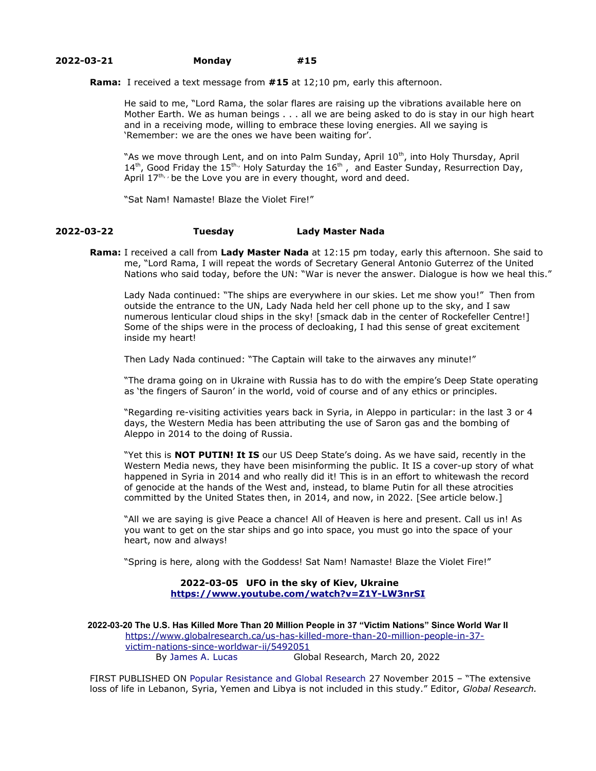## **2022-03-21 Monday #15**

**Rama:** I received a text message from **#15** at 12;10 pm, early this afternoon.

He said to me, "Lord Rama, the solar flares are raising up the vibrations available here on Mother Earth. We as human beings . . . all we are being asked to do is stay in our high heart and in a receiving mode, willing to embrace these loving energies. All we saying is 'Remember: we are the ones we have been waiting for'.

"As we move through Lent, and on into Palm Sunday, April 10<sup>th</sup>, into Holy Thursday, April  $14<sup>th</sup>$ , Good Friday the  $15<sup>th</sup>$ , Holy Saturday the  $16<sup>th</sup>$ , and Easter Sunday, Resurrection Day, April  $17^{\text{th}}$ , be the Love you are in every thought, word and deed.

"Sat Nam! Namaste! Blaze the Violet Fire!"

### **2022-03-22 Tuesday Lady Master Nada**

**Rama:** I received a call from **Lady Master Nada** at 12:15 pm today, early this afternoon. She said to me, "Lord Rama, I will repeat the words of Secretary General Antonio Guterrez of the United Nations who said today, before the UN: "War is never the answer. Dialogue is how we heal this."

Lady Nada continued: "The ships are everywhere in our skies. Let me show you!" Then from outside the entrance to the UN, Lady Nada held her cell phone up to the sky, and I saw numerous lenticular cloud ships in the sky! [smack dab in the center of Rockefeller Centre!] Some of the ships were in the process of decloaking, I had this sense of great excitement inside my heart!

Then Lady Nada continued: "The Captain will take to the airwaves any minute!"

"The drama going on in Ukraine with Russia has to do with the empire's Deep State operating as 'the fingers of Sauron' in the world, void of course and of any ethics or principles.

"Regarding re-visiting activities years back in Syria, in Aleppo in particular: in the last 3 or 4 days, the Western Media has been attributing the use of Saron gas and the bombing of Aleppo in 2014 to the doing of Russia.

"Yet this is **NOT PUTIN! It IS** our US Deep State's doing. As we have said, recently in the Western Media news, they have been misinforming the public. It IS a cover-up story of what happened in Syria in 2014 and who really did it! This is in an effort to whitewash the record of genocide at the hands of the West and, instead, to blame Putin for all these atrocities committed by the United States then, in 2014, and now, in 2022. [See article below.]

"All we are saying is give Peace a chance! All of Heaven is here and present. Call us in! As you want to get on the star ships and go into space, you must go into the space of your heart, now and always!

"Spring is here, along with the Goddess! Sat Nam! Namaste! Blaze the Violet Fire!"

## **2022-03-05 UFO in the sky of Kiev, Ukraine <https://www.youtube.com/watch?v=Z1Y-LW3nrSI>**

**2022-03-20 The U.S. Has Killed More Than 20 Million People in 37 "Victim Nations" Since World War II** [https://www.globalresearch.ca/us-has-killed-more-than-20-million-people-in-37](https://www.globalresearch.ca/us-has-killed-more-than-20-million-people-in-37-victim-nations-since-worldwar-ii/5492051) [victim-nations-since-worldwar-ii/5492051](https://www.globalresearch.ca/us-has-killed-more-than-20-million-people-in-37-victim-nations-since-worldwar-ii/5492051) By James A. Lucas Global Research, March 20, 2022

FIRST PUBLISHED ON Popular Resistance and Global Research 27 November 2015 – "The extensive loss of life in Lebanon, Syria, Yemen and Libya is not included in this study." Editor, *Global Research.*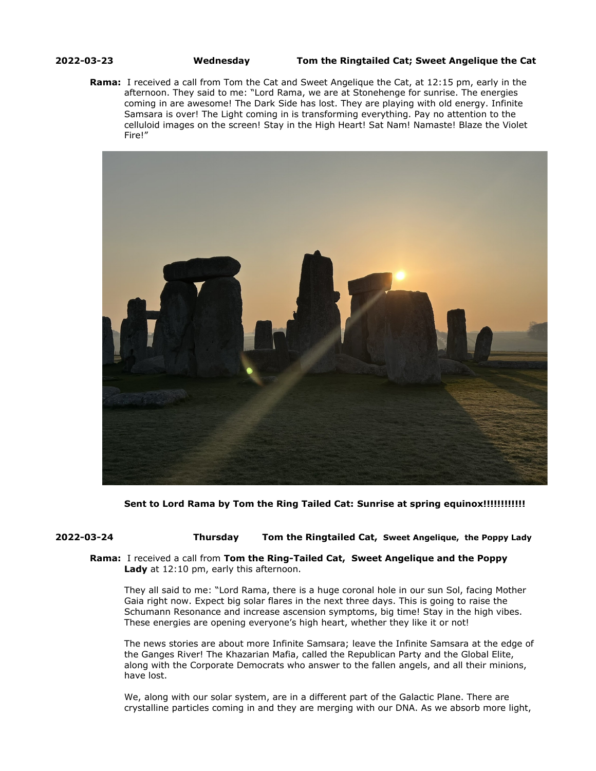### **2022-03-23 Wednesday Tom the Ringtailed Cat; Sweet Angelique the Cat**

**Rama:** I received a call from Tom the Cat and Sweet Angelique the Cat, at 12:15 pm, early in the afternoon. They said to me: "Lord Rama, we are at Stonehenge for sunrise. The energies coming in are awesome! The Dark Side has lost. They are playing with old energy. Infinite Samsara is over! The Light coming in is transforming everything. Pay no attention to the celluloid images on the screen! Stay in the High Heart! Sat Nam! Namaste! Blaze the Violet Fire!"



**Sent to Lord Rama by Tom the Ring Tailed Cat: Sunrise at spring equinox!!!!!!!!!!!!** 

# **2022-03-24 Thursday Tom the Ringtailed Cat, Sweet Angelique, the Poppy Lady**

## **Rama:** I received a call from **Tom the Ring-Tailed Cat, Sweet Angelique and the Poppy Lady** at 12:10 pm, early this afternoon.

They all said to me: "Lord Rama, there is a huge coronal hole in our sun Sol, facing Mother Gaia right now. Expect big solar flares in the next three days. This is going to raise the Schumann Resonance and increase ascension symptoms, big time! Stay in the high vibes. These energies are opening everyone's high heart, whether they like it or not!

The news stories are about more Infinite Samsara; leave the Infinite Samsara at the edge of the Ganges River! The Khazarian Mafia, called the Republican Party and the Global Elite, along with the Corporate Democrats who answer to the fallen angels, and all their minions, have lost.

We, along with our solar system, are in a different part of the Galactic Plane. There are crystalline particles coming in and they are merging with our DNA. As we absorb more light,